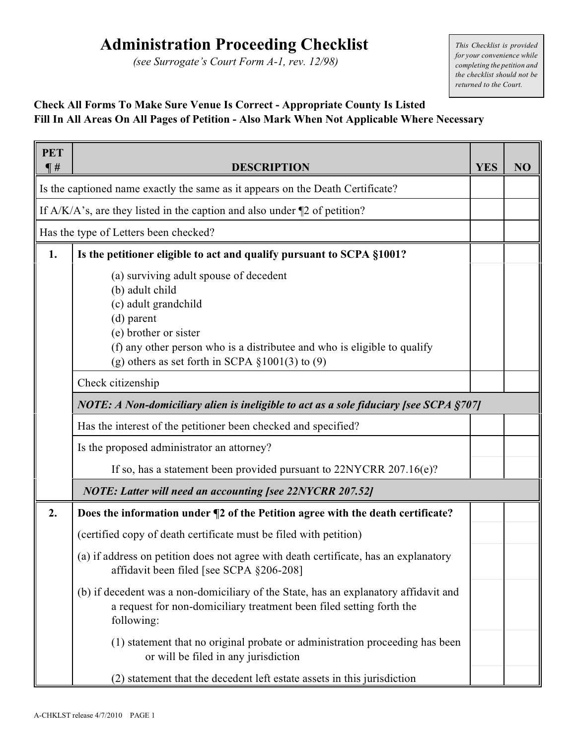## **Administration Proceeding Checklist**

*(see Surrogate's Court Form A-1, rev. 12/98)*

*This Checklist is provided for your convenience while completing the petition and the checklist should not be returned to the Court.*

## **Check All Forms To Make Sure Venue Is Correct - Appropriate County Is Listed Fill In All Areas On All Pages of Petition - Also Mark When Not Applicable Where Necessary**

| <b>PET</b><br>$\P$ # | <b>DESCRIPTION</b>                                                                                                                                                                                                                                            | <b>YES</b> | NO |  |  |
|----------------------|---------------------------------------------------------------------------------------------------------------------------------------------------------------------------------------------------------------------------------------------------------------|------------|----|--|--|
|                      | Is the captioned name exactly the same as it appears on the Death Certificate?                                                                                                                                                                                |            |    |  |  |
|                      | If $A/K/A$ 's, are they listed in the caption and also under $\P$ 2 of petition?                                                                                                                                                                              |            |    |  |  |
|                      | Has the type of Letters been checked?                                                                                                                                                                                                                         |            |    |  |  |
| 1.                   | Is the petitioner eligible to act and qualify pursuant to SCPA §1001?                                                                                                                                                                                         |            |    |  |  |
|                      | (a) surviving adult spouse of decedent<br>(b) adult child<br>(c) adult grandchild<br>$(d)$ parent<br>(e) brother or sister<br>(f) any other person who is a distributee and who is eligible to qualify<br>(g) others as set forth in SCPA $\S 1001(3)$ to (9) |            |    |  |  |
|                      | Check citizenship                                                                                                                                                                                                                                             |            |    |  |  |
|                      | NOTE: A Non-domiciliary alien is ineligible to act as a sole fiduciary [see SCPA §707]                                                                                                                                                                        |            |    |  |  |
|                      |                                                                                                                                                                                                                                                               |            |    |  |  |
|                      | Is the proposed administrator an attorney?                                                                                                                                                                                                                    |            |    |  |  |
|                      | If so, has a statement been provided pursuant to 22NYCRR 207.16(e)?                                                                                                                                                                                           |            |    |  |  |
|                      | <b>NOTE: Latter will need an accounting [see 22NYCRR 207.52]</b>                                                                                                                                                                                              |            |    |  |  |
| 2.                   | Does the information under ¶2 of the Petition agree with the death certificate?                                                                                                                                                                               |            |    |  |  |
|                      | (certified copy of death certificate must be filed with petition)                                                                                                                                                                                             |            |    |  |  |
|                      | (a) if address on petition does not agree with death certificate, has an explanatory<br>affidavit been filed [see SCPA §206-208]                                                                                                                              |            |    |  |  |
|                      | (b) if decedent was a non-domiciliary of the State, has an explanatory affidavit and<br>a request for non-domiciliary treatment been filed setting forth the<br>following:                                                                                    |            |    |  |  |
|                      | (1) statement that no original probate or administration proceeding has been<br>or will be filed in any jurisdiction                                                                                                                                          |            |    |  |  |
|                      | (2) statement that the decedent left estate assets in this jurisdiction                                                                                                                                                                                       |            |    |  |  |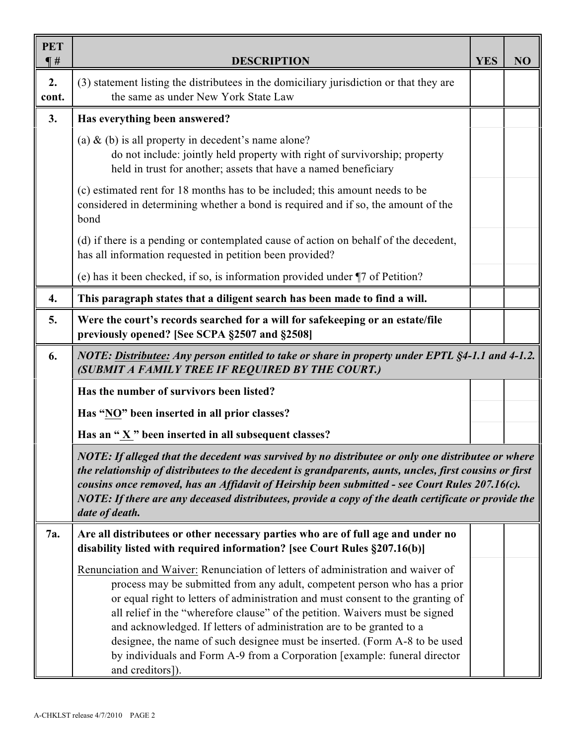| <b>PET</b><br>$\P#$ | <b>DESCRIPTION</b>                                                                                                                                                                                                                                                                                                                                                                                                                                                                                                                                                                       | <b>YES</b> | NO |  |
|---------------------|------------------------------------------------------------------------------------------------------------------------------------------------------------------------------------------------------------------------------------------------------------------------------------------------------------------------------------------------------------------------------------------------------------------------------------------------------------------------------------------------------------------------------------------------------------------------------------------|------------|----|--|
| 2.<br>cont.         | (3) statement listing the distributees in the domiciliary jurisdiction or that they are<br>the same as under New York State Law                                                                                                                                                                                                                                                                                                                                                                                                                                                          |            |    |  |
| 3.                  | Has everything been answered?                                                                                                                                                                                                                                                                                                                                                                                                                                                                                                                                                            |            |    |  |
|                     | (a) $\&$ (b) is all property in decedent's name alone?<br>do not include: jointly held property with right of survivorship; property<br>held in trust for another; assets that have a named beneficiary                                                                                                                                                                                                                                                                                                                                                                                  |            |    |  |
|                     | (c) estimated rent for 18 months has to be included; this amount needs to be<br>considered in determining whether a bond is required and if so, the amount of the<br>bond                                                                                                                                                                                                                                                                                                                                                                                                                |            |    |  |
|                     | (d) if there is a pending or contemplated cause of action on behalf of the decedent,<br>has all information requested in petition been provided?                                                                                                                                                                                                                                                                                                                                                                                                                                         |            |    |  |
|                     | (e) has it been checked, if so, is information provided under \[7 of Petition?                                                                                                                                                                                                                                                                                                                                                                                                                                                                                                           |            |    |  |
| 4.                  | This paragraph states that a diligent search has been made to find a will.                                                                                                                                                                                                                                                                                                                                                                                                                                                                                                               |            |    |  |
| 5.                  | Were the court's records searched for a will for safekeeping or an estate/file<br>previously opened? [See SCPA §2507 and §2508]                                                                                                                                                                                                                                                                                                                                                                                                                                                          |            |    |  |
| 6.                  | NOTE: Distributee: Any person entitled to take or share in property under EPTL §4-1.1 and 4-1.2.<br>(SUBMIT A FAMILY TREE IF REQUIRED BY THE COURT.)                                                                                                                                                                                                                                                                                                                                                                                                                                     |            |    |  |
|                     | Has the number of survivors been listed?                                                                                                                                                                                                                                                                                                                                                                                                                                                                                                                                                 |            |    |  |
|                     | Has "NO" been inserted in all prior classes?                                                                                                                                                                                                                                                                                                                                                                                                                                                                                                                                             |            |    |  |
|                     | Has an "X" been inserted in all subsequent classes?                                                                                                                                                                                                                                                                                                                                                                                                                                                                                                                                      |            |    |  |
|                     | NOTE: If alleged that the decedent was survived by no distributee or only one distributee or where<br>the relationship of distributees to the decedent is grandparents, aunts, uncles, first cousins or first<br>cousins once removed, has an Affidavit of Heirship been submitted - see Court Rules 207.16(c).<br>NOTE: If there are any deceased distributees, provide a copy of the death certificate or provide the<br>date of death.                                                                                                                                                |            |    |  |
| 7a.                 | Are all distributees or other necessary parties who are of full age and under no<br>disability listed with required information? [see Court Rules §207.16(b)]                                                                                                                                                                                                                                                                                                                                                                                                                            |            |    |  |
|                     | Renunciation and Waiver: Renunciation of letters of administration and waiver of<br>process may be submitted from any adult, competent person who has a prior<br>or equal right to letters of administration and must consent to the granting of<br>all relief in the "wherefore clause" of the petition. Waivers must be signed<br>and acknowledged. If letters of administration are to be granted to a<br>designee, the name of such designee must be inserted. (Form A-8 to be used<br>by individuals and Form A-9 from a Corporation [example: funeral director<br>and creditors]). |            |    |  |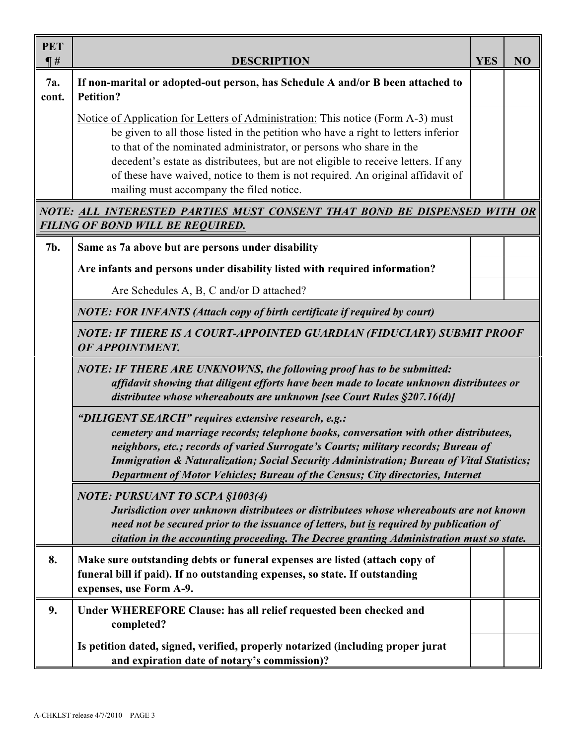| <b>PET</b><br>$\P$ # | <b>DESCRIPTION</b>                                                                                                                                                                                                                                                                                                                                                                                                                                               |  | NO |  |
|----------------------|------------------------------------------------------------------------------------------------------------------------------------------------------------------------------------------------------------------------------------------------------------------------------------------------------------------------------------------------------------------------------------------------------------------------------------------------------------------|--|----|--|
| 7a.<br>cont.         | If non-marital or adopted-out person, has Schedule A and/or B been attached to<br><b>Petition?</b>                                                                                                                                                                                                                                                                                                                                                               |  |    |  |
|                      | Notice of Application for Letters of Administration: This notice (Form A-3) must<br>be given to all those listed in the petition who have a right to letters inferior<br>to that of the nominated administrator, or persons who share in the<br>decedent's estate as distributees, but are not eligible to receive letters. If any<br>of these have waived, notice to them is not required. An original affidavit of<br>mailing must accompany the filed notice. |  |    |  |
|                      | NOTE: ALL INTERESTED PARTIES MUST CONSENT THAT BOND BE DISPENSED WITH OR<br>FILING OF BOND WILL BE REQUIRED.                                                                                                                                                                                                                                                                                                                                                     |  |    |  |
| 7b.                  | Same as 7a above but are persons under disability                                                                                                                                                                                                                                                                                                                                                                                                                |  |    |  |
|                      | Are infants and persons under disability listed with required information?                                                                                                                                                                                                                                                                                                                                                                                       |  |    |  |
|                      | Are Schedules A, B, C and/or D attached?                                                                                                                                                                                                                                                                                                                                                                                                                         |  |    |  |
|                      | <b>NOTE: FOR INFANTS (Attach copy of birth certificate if required by court)</b>                                                                                                                                                                                                                                                                                                                                                                                 |  |    |  |
|                      | NOTE: IF THERE IS A COURT-APPOINTED GUARDIAN (FIDUCIARY) SUBMIT PROOF<br>OF APPOINTMENT.                                                                                                                                                                                                                                                                                                                                                                         |  |    |  |
|                      | <b>NOTE: IF THERE ARE UNKNOWNS, the following proof has to be submitted:</b><br>affidavit showing that diligent efforts have been made to locate unknown distributees or<br>distributee whose whereabouts are unknown [see Court Rules §207.16(d)]                                                                                                                                                                                                               |  |    |  |
|                      | "DILIGENT SEARCH" requires extensive research, e.g.:<br>cemetery and marriage records; telephone books, conversation with other distributees,<br>neighbors, etc.; records of varied Surrogate's Courts; military records; Bureau of<br><b>Immigration &amp; Naturalization; Social Security Administration; Bureau of Vital Statistics;</b><br>Department of Motor Vehicles; Bureau of the Census; City directories, Internet                                    |  |    |  |
|                      | <b>NOTE: PURSUANT TO SCPA §1003(4)</b><br>Jurisdiction over unknown distributees or distributees whose whereabouts are not known<br>need not be secured prior to the issuance of letters, but is required by publication of<br>citation in the accounting proceeding. The Decree granting Administration must so state.                                                                                                                                          |  |    |  |
| 8.                   | Make sure outstanding debts or funeral expenses are listed (attach copy of<br>funeral bill if paid). If no outstanding expenses, so state. If outstanding<br>expenses, use Form A-9.                                                                                                                                                                                                                                                                             |  |    |  |
| 9.                   | Under WHEREFORE Clause: has all relief requested been checked and<br>completed?                                                                                                                                                                                                                                                                                                                                                                                  |  |    |  |
|                      | Is petition dated, signed, verified, properly notarized (including proper jurat<br>and expiration date of notary's commission)?                                                                                                                                                                                                                                                                                                                                  |  |    |  |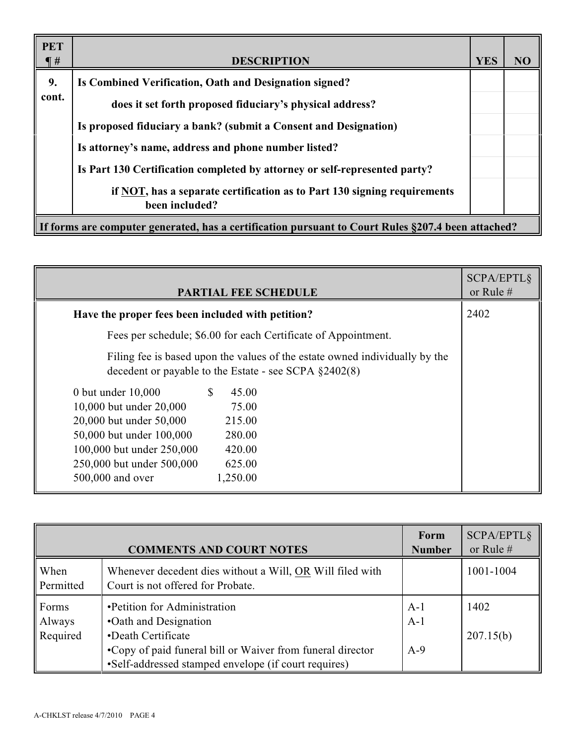| <b>PET</b><br>$\P$ #                                                                               | <b>DESCRIPTION</b>                                                                         | <b>YES</b> | NO |
|----------------------------------------------------------------------------------------------------|--------------------------------------------------------------------------------------------|------------|----|
| 9.                                                                                                 | Is Combined Verification, Oath and Designation signed?                                     |            |    |
| cont.                                                                                              | does it set forth proposed fiduciary's physical address?                                   |            |    |
|                                                                                                    | Is proposed fiduciary a bank? (submit a Consent and Designation)                           |            |    |
|                                                                                                    | Is attorney's name, address and phone number listed?                                       |            |    |
|                                                                                                    | Is Part 130 Certification completed by attorney or self-represented party?                 |            |    |
|                                                                                                    | if NOT, has a separate certification as to Part 130 signing requirements<br>been included? |            |    |
| If forms are computer generated, has a certification pursuant to Court Rules §207.4 been attached? |                                                                                            |            |    |

| <b>PARTIAL FEE SCHEDULE</b>                                                                                                              | <b>SCPA/EPTL§</b><br>or Rule # |
|------------------------------------------------------------------------------------------------------------------------------------------|--------------------------------|
| Have the proper fees been included with petition?                                                                                        | 2402                           |
| Fees per schedule; \$6.00 for each Certificate of Appointment.                                                                           |                                |
| Filing fee is based upon the values of the estate owned individually by the<br>decedent or payable to the Estate - see SCPA $\S 2402(8)$ |                                |
| 0 but under $10,000$<br>45.00<br><sup>S</sup>                                                                                            |                                |
| 10,000 but under 20,000<br>75.00                                                                                                         |                                |
| 20,000 but under 50,000<br>215.00                                                                                                        |                                |
| 50,000 but under 100,000<br>280.00                                                                                                       |                                |
| 100,000 but under 250,000<br>420.00                                                                                                      |                                |
| 250,000 but under 500,000<br>625.00                                                                                                      |                                |
| 500,000 and over<br>1,250.00                                                                                                             |                                |

|                             | <b>COMMENTS AND COURT NOTES</b>                                                                                    | Form<br><b>Number</b> | SCPA/EPTL§<br>or Rule $#$ |
|-----------------------------|--------------------------------------------------------------------------------------------------------------------|-----------------------|---------------------------|
| When<br>Permitted           | Whenever decedent dies without a Will, OR Will filed with<br>Court is not offered for Probate.                     |                       | 1001-1004                 |
| Forms<br>Always<br>Required | •Petition for Administration<br>•Oath and Designation<br>•Death Certificate                                        | $A-1$<br>$A-1$        | 1402<br>207.15(b)         |
|                             | •Copy of paid funeral bill or Waiver from funeral director<br>•Self-addressed stamped envelope (if court requires) | $A-9$                 |                           |